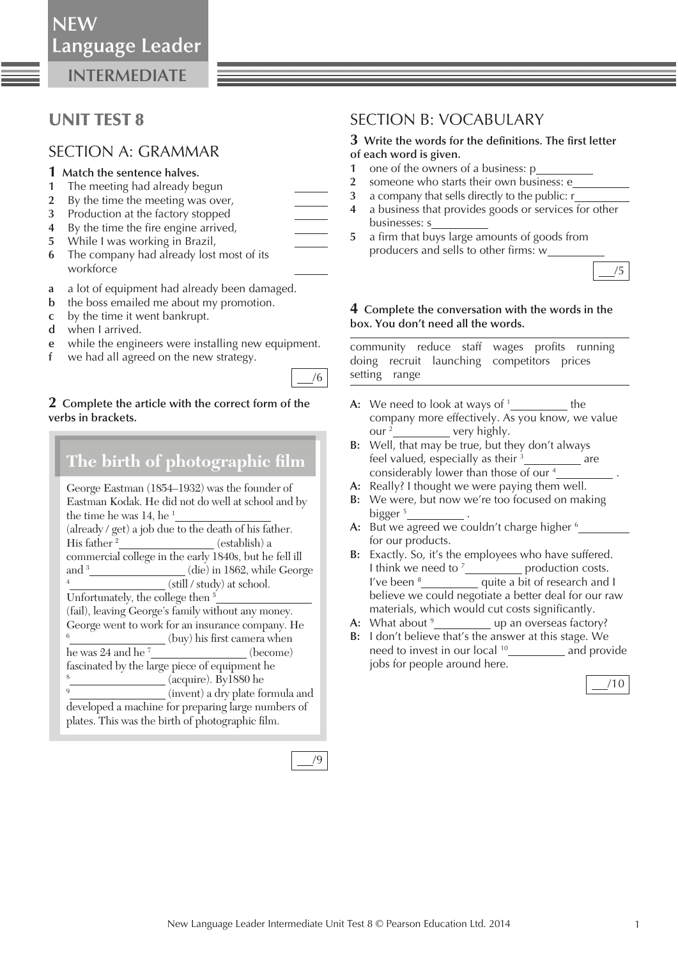**NEW**

**INTERMEDIATE**

## UNIT TEST 8

### SECTION A: GRAMMAR

- **1 Match the sentence halves.**
- **1** The meeting had already begun
- **2** By the time the meeting was over,
- **3** Production at the factory stopped
- **4** By the time the fire engine arrived,
- **5** While I was working in Brazil,
- **6** The company had already lost most of its workforce
- **a** a lot of equipment had already been damaged.
- **b** the boss emailed me about my promotion.
- **c** by the time it went bankrupt.
- **d** when I arrived.
- **e** while the engineers were installing new equipment.
- **f** we had all agreed on the new strategy.

### **2 Complete the article with the correct form of the verbs in brackets.**

| The birth of photographic film                         |  |  |
|--------------------------------------------------------|--|--|
| George Eastman (1854–1932) was the founder of          |  |  |
| Eastman Kodak. He did not do well at school and by     |  |  |
| the time he was 14, he <sup>1</sup>                    |  |  |
| (already / get) a job due to the death of his father.  |  |  |
| His father $2$<br>(establish) a                        |  |  |
| commercial college in the early 1840s, but he fell ill |  |  |
| and $\frac{3}{2}$<br>(die) in 1862, while George       |  |  |
| $\overline{4}$<br>(still / study) at school.           |  |  |
| Unfortunately, the college then $5$                    |  |  |
| (fail), leaving George's family without any money.     |  |  |
| George went to work for an insurance company. He       |  |  |
| 6<br>(buy) his first camera when                       |  |  |
| he was $24$ and he <sup><math>7</math></sup> (become)  |  |  |
| fascinated by the large piece of equipment he          |  |  |
| 8<br>(acquire). By1880 he                              |  |  |
| 9<br>(invent) a dry plate formula and                  |  |  |
| developed a machine for preparing large numbers of     |  |  |
| plates. This was the birth of photographic film.       |  |  |



/6

## SECTION B: VOCABULARY

# **3** Write the words for the definitions. The first letter

- **of each word is given.**
- **1** one of the owners of a business: p
- **2** someone who starts their own business: e
- **3** a company that sells directly to the public: r
- **4** a business that provides goods or services for other businesses: s
- **5** a firm that buys large amounts of goods from producers and sells to other firms: w



### **4 Complete the conversation with the words in the box. You don't need all the words.**

community reduce staff wages profits running doing recruit launching competitors prices setting range

- **A:** We need to look at ways of <sup>1</sup><sub>\_\_\_\_\_\_\_\_\_\_\_\_</sub> the company more effectively. As you know, we value our <sup>2</sup> \_ very highly.
- **B:** Well, that may be true, but they don't always feel valued, especially as their <sup>3</sup> are considerably lower than those of our <sup>4</sup>
- **A:** Really? I thought we were paying them well.
- **B:** We were, but now we're too focused on making bigger<sup>5</sup><sub>\_\_\_\_\_\_\_\_\_\_\_\_\_\_\_\_\_\_\_\_.</sub>
- A: But we agreed we couldn't charge higher <sup>6</sup> for our products.
- **B:** Exactly. So, it's the employees who have suffered. I think we need to <sup>7</sup><sub>\_\_\_\_\_\_\_\_\_\_\_\_</sub> production costs. I've been <sup>8</sup> **quite a bit of research and I** believe we could negotiate a better deal for our raw materials, which would cut costs significantly.
- **A:** What about <sup>9</sup> up an overseas factory?
- **B:** I don't believe that's the answer at this stage. We need to invest in our local <sup>10</sup> \_\_\_\_\_\_\_\_\_\_ and provide jobs for people around here.

/10